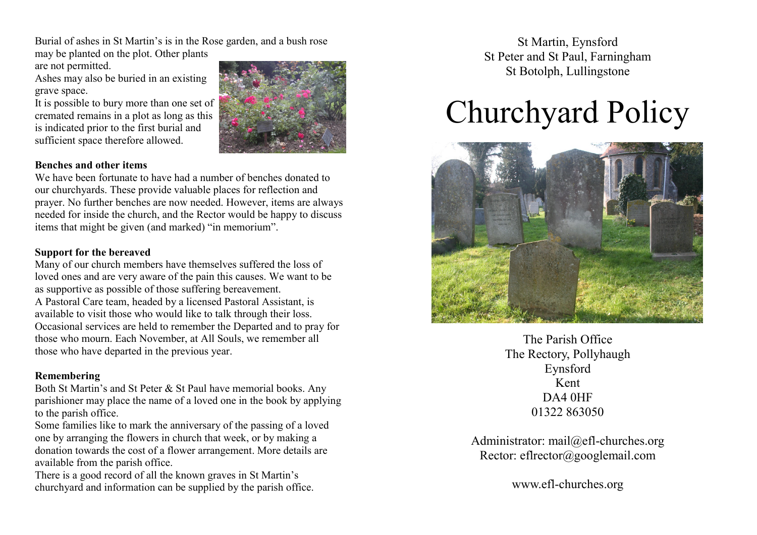Burial of ashes in St Martin's is in the Rose garden, and a bush rose

may be planted on the plot. Other plants are not permitted.

Ashes may also be buried in an existing grave space.

It is possible to bury more than one set of cremated remains in a plot as long as this is indicated prior to the first burial and sufficient space therefore allowed.



We have been fortunate to have had a number of benches donated to our churchyards. These provide valuable places for reflection and prayer. No further benches are now needed. However, items are always needed for inside the church, and the Rector would be happy to discuss items that might be given (and marked) "in memorium".

#### **Support for the bereaved**

Many of our church members have themselves suffered the loss of loved ones and are very aware of the pain this causes. We want to be as supportive as possible of those suffering bereavement. A Pastoral Care team, headed by a licensed Pastoral Assistant, is available to visit those who would like to talk through their loss. Occasional services are held to remember the Departed and to pray for those who mourn. Each November, at All Souls, we remember all those who have departed in the previous year.

#### **Remembering**

Both St Martin's and St Peter & St Paul have memorial books. Any parishioner may place the name of a loved one in the book by applying to the parish office.

Some families like to mark the anniversary of the passing of a loved one by arranging the flowers in church that week, or by making a donation towards the cost of a flower arrangement. More details are available from the parish office.

There is a good record of all the known graves in St Martin's churchyard and information can be supplied by the parish office.

St Martin, Eynsford St Peter and St Paul, Farningham St Botolph, Lullingstone

# Churchyard Policy



The Parish Office The Rectory, Pollyhaugh Eynsford Kent DA4 0HF 01322 863050

Administrator: mail@efl-churches.org Rector: eflrector@googlemail.com

www.efl-churches.org